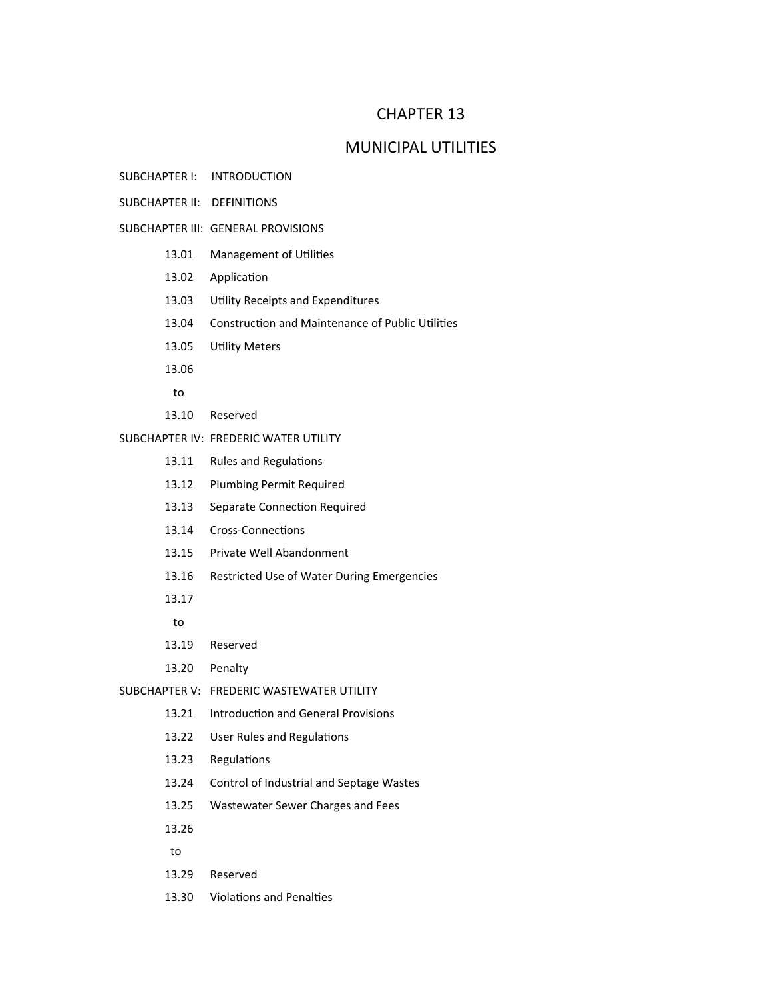# CHAPTER 13

## MUNICIPAL UTILITIES

- SUBCHAPTER I: INTRODUCTION
- SUBCHAPTER II: DEFINITIONS
- SUBCHAPTER III: GENERAL PROVISIONS
	- 13.01 Management of Utilities
	- 13.02 Application
	- 13.03 Utility Receipts and Expenditures
	- 13.04 Construction and Maintenance of Public Utilities
	- 13.05 Utility Meters
	- 13.06
	- to
	- 13.10 Reserved

### SUBCHAPTER IV: FREDERIC WATER UTILITY

- 13.11 Rules and Regulations
- 13.12 Plumbing Permit Required
- 13.13 Separate Connection Required
- 13.14 Cross-Connections
- 13.15 Private Well Abandonment
- 13.16 Restricted Use of Water During Emergencies
- 13.17
- to
- 13.19 Reserved
- 13.20 Penalty
- SUBCHAPTER V: FREDERIC WASTEWATER UTILITY
	- 13.21 Introduction and General Provisions
	- 13.22 User Rules and Regulations
	- 13.23 Regulations
	- 13.24 Control of Industrial and Septage Wastes
	- 13.25 Wastewater Sewer Charges and Fees
	- 13.26
	- to
	- 13.29 Reserved
	- 13.30 Violations and Penalties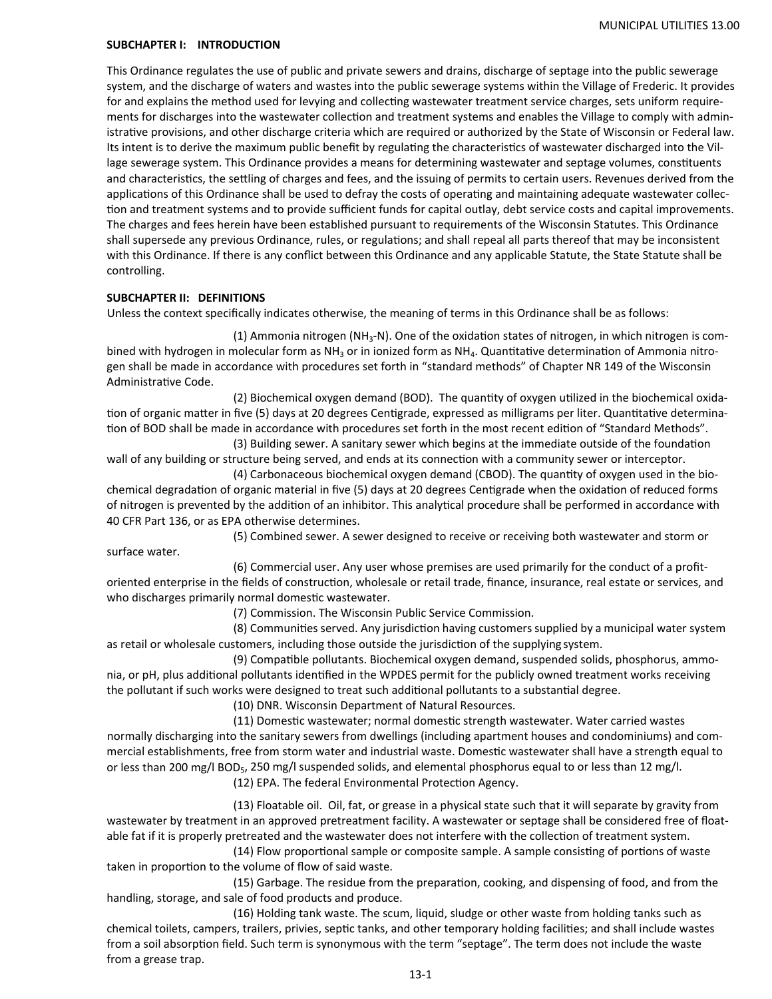#### **SUBCHAPTER I: INTRODUCTION**

This Ordinance regulates the use of public and private sewers and drains, discharge of septage into the public sewerage system, and the discharge of waters and wastes into the public sewerage systems within the Village of Frederic. It provides for and explains the method used for levying and collecting wastewater treatment service charges, sets uniform requirements for discharges into the wastewater collection and treatment systems and enables the Village to comply with administrative provisions, and other discharge criteria which are required or authorized by the State of Wisconsin or Federal law. Its intent is to derive the maximum public benefit by regulating the characteristics of wastewater discharged into the Village sewerage system. This Ordinance provides a means for determining wastewater and septage volumes, constituents and characteristics, the settling of charges and fees, and the issuing of permits to certain users. Revenues derived from the applications of this Ordinance shall be used to defray the costs of operating and maintaining adequate wastewater collection and treatment systems and to provide sufficient funds for capital outlay, debt service costs and capital improvements. The charges and fees herein have been established pursuant to requirements of the Wisconsin Statutes. This Ordinance shall supersede any previous Ordinance, rules, or regulations; and shall repeal all parts thereof that may be inconsistent with this Ordinance. If there is any conflict between this Ordinance and any applicable Statute, the State Statute shall be controlling.

#### **SUBCHAPTER II: DEFINITIONS**

Unless the context specifically indicates otherwise, the meaning of terms in this Ordinance shall be as follows:

(1) Ammonia nitrogen (NH<sub>3</sub>-N). One of the oxidation states of nitrogen, in which nitrogen is combined with hydrogen in molecular form as NH<sub>3</sub> or in ionized form as NH<sub>4</sub>. Quantitative determination of Ammonia nitrogen shall be made in accordance with procedures set forth in "standard methods" of Chapter NR 149 of the Wisconsin Administrative Code.

(2) Biochemical oxygen demand (BOD). The quantity of oxygen utilized in the biochemical oxidation of organic matter in five (5) days at 20 degrees Centigrade, expressed as milligrams per liter. Quantitative determination of BOD shall be made in accordance with procedures set forth in the most recent edition of "Standard Methods".

(3) Building sewer. A sanitary sewer which begins at the immediate outside of the foundation wall of any building or structure being served, and ends at its connection with a community sewer or interceptor.

(4) Carbonaceous biochemical oxygen demand (CBOD). The quantity of oxygen used in the biochemical degradation of organic material in five (5) days at 20 degrees Centigrade when the oxidation of reduced forms of nitrogen is prevented by the addition of an inhibitor. This analytical procedure shall be performed in accordance with 40 CFR Part 136, or as EPA otherwise determines.

(5) Combined sewer. A sewer designed to receive or receiving both wastewater and storm or surface water.

(6) Commercial user. Any user whose premises are used primarily for the conduct of a profit‐ oriented enterprise in the fields of construction, wholesale or retail trade, finance, insurance, real estate or services, and who discharges primarily normal domestic wastewater.

(7) Commission. The Wisconsin Public Service Commission.

(8) Communities served. Any jurisdiction having customers supplied by a municipal water system as retail or wholesale customers, including those outside the jurisdiction of the supplying system.

(9) Compatible pollutants. Biochemical oxygen demand, suspended solids, phosphorus, ammonia, or pH, plus additional pollutants identified in the WPDES permit for the publicly owned treatment works receiving the pollutant if such works were designed to treat such additional pollutants to a substantial degree.

(10) DNR. Wisconsin Department of Natural Resources.

(11) Domestic wastewater; normal domestic strength wastewater. Water carried wastes normally discharging into the sanitary sewers from dwellings (including apartment houses and condominiums) and com‐ mercial establishments, free from storm water and industrial waste. Domestic wastewater shall have a strength equal to or less than 200 mg/l BOD5, 250 mg/l suspended solids, and elemental phosphorus equal to or less than 12 mg/l.

(12) EPA. The federal Environmental Protection Agency.

 (13) Floatable oil. Oil, fat, or grease in a physical state such that it will separate by gravity from wastewater by treatment in an approved pretreatment facility. A wastewater or septage shall be considered free of floatable fat if it is properly pretreated and the wastewater does not interfere with the collection of treatment system.

(14) Flow proportional sample or composite sample. A sample consisting of portions of waste taken in proportion to the volume of flow of said waste.

(15) Garbage. The residue from the preparation, cooking, and dispensing of food, and from the handling, storage, and sale of food products and produce.

(16) Holding tank waste. The scum, liquid, sludge or other waste from holding tanks such as chemical toilets, campers, trailers, privies, septic tanks, and other temporary holding facilities; and shall include wastes from a soil absorption field. Such term is synonymous with the term "septage". The term does not include the waste from a grease trap.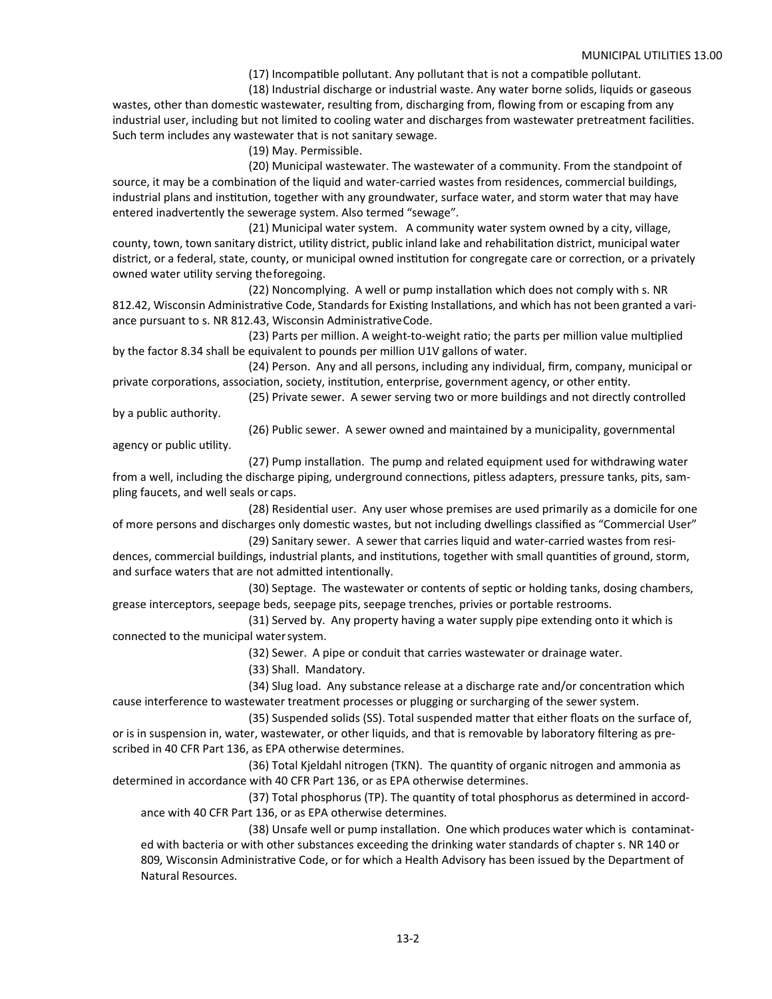(17) Incompatible pollutant. Any pollutant that is not a compatible pollutant.

 (18) Industrial discharge or industrial waste. Any water borne solids, liquids or gaseous wastes, other than domestic wastewater, resulting from, discharging from, flowing from or escaping from any industrial user, including but not limited to cooling water and discharges from wastewater pretreatment facilities. Such term includes any wastewater that is not sanitary sewage.

(19) May. Permissible.

 (20) Municipal wastewater. The wastewater of a community. From the standpoint of source, it may be a combination of the liquid and water-carried wastes from residences, commercial buildings, industrial plans and institution, together with any groundwater, surface water, and storm water that may have entered inadvertently the sewerage system. Also termed "sewage".

(21) Municipal water system. A community water system owned by a city, village, county, town, town sanitary district, utility district, public inland lake and rehabilitation district, municipal water district, or a federal, state, county, or municipal owned institution for congregate care or correction, or a privately owned water utility serving the foregoing.

(22) Noncomplying. A well or pump installation which does not comply with s. NR 812.42, Wisconsin Administrative Code, Standards for Existing Installations, and which has not been granted a variance pursuant to s. NR 812.43, Wisconsin Administrative Code.

(23) Parts per million. A weight-to-weight ratio; the parts per million value multiplied by the factor 8.34 shall be equivalent to pounds per million U1V gallons of water.

 (24) Person. Any and all persons, including any individual, firm, company, municipal or private corporations, association, society, institution, enterprise, government agency, or other entity.

 (25) Private sewer. A sewer serving two or more buildings and not directly controlled by a public authority.

agency or public utility.

(26) Public sewer. A sewer owned and maintained by a municipality, governmental

(27) Pump installation. The pump and related equipment used for withdrawing water from a well, including the discharge piping, underground connections, pitless adapters, pressure tanks, pits, sampling faucets, and well seals or caps.

(28) Residential user. Any user whose premises are used primarily as a domicile for one of more persons and discharges only domestic wastes, but not including dwellings classified as "Commercial User"

 (29) Sanitary sewer. A sewer that carries liquid and water‐carried wastes from resi‐ dences, commercial buildings, industrial plants, and institutions, together with small quantities of ground, storm, and surface waters that are not admitted intentionally.

(30) Septage. The wastewater or contents of septic or holding tanks, dosing chambers, grease interceptors, seepage beds, seepage pits, seepage trenches, privies or portable restrooms.

 (31) Served by. Any property having a water supply pipe extending onto it which is connected to the municipal water system.

(32) Sewer. A pipe or conduit that carries wastewater or drainage water.

(33) Shall. Mandatory.

(34) Slug load. Any substance release at a discharge rate and/or concentration which cause interference to wastewater treatment processes or plugging or surcharging of the sewer system.

(35) Suspended solids (SS). Total suspended matter that either floats on the surface of, or is in suspension in, water, wastewater, or other liquids, and that is removable by laboratory filtering as pre‐ scribed in 40 CFR Part 136, as EPA otherwise determines.

(36) Total Kjeldahl nitrogen (TKN). The quantity of organic nitrogen and ammonia as determined in accordance with 40 CFR Part 136, or as EPA otherwise determines.

(37) Total phosphorus (TP). The quantity of total phosphorus as determined in accordance with 40 CFR Part 136, or as EPA otherwise determines.

(38) Unsafe well or pump installation. One which produces water which is contaminated with bacteria or with other substances exceeding the drinking water standards of chapter s. NR 140 or 809, Wisconsin Administrative Code, or for which a Health Advisory has been issued by the Department of Natural Resources.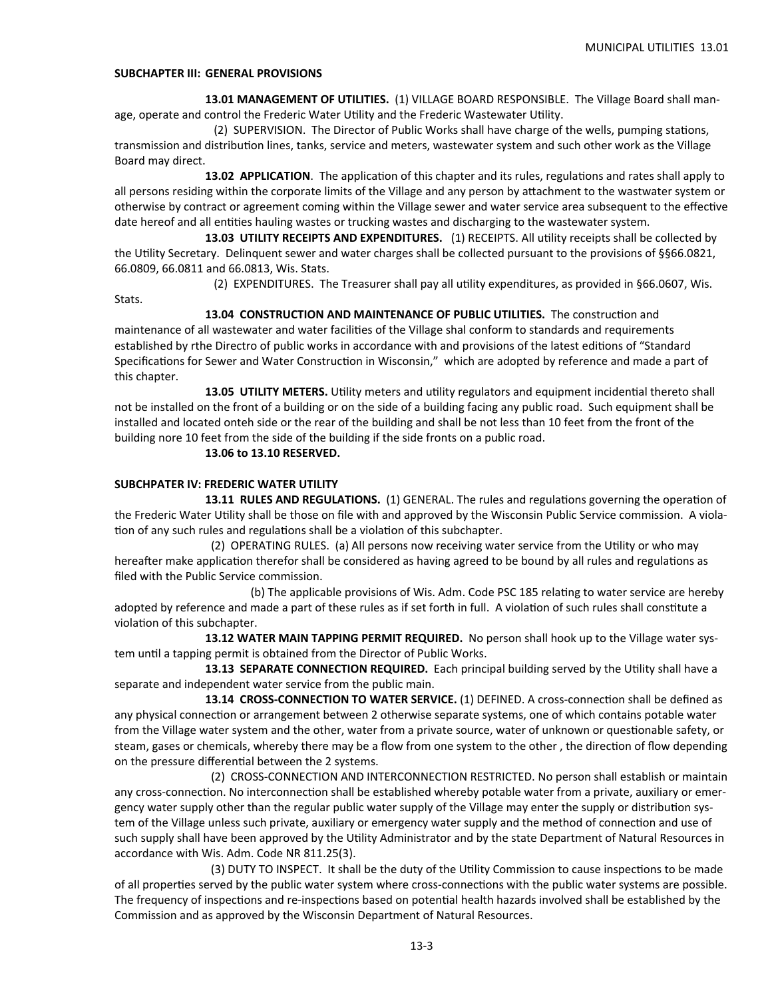#### **SUBCHAPTER III: GENERAL PROVISIONS**

 **13.01 MANAGEMENT OF UTILITIES.**  (1) VILLAGE BOARD RESPONSIBLE. The Village Board shall man‐ age, operate and control the Frederic Water Utility and the Frederic Wastewater Utility.

(2) SUPERVISION. The Director of Public Works shall have charge of the wells, pumping stations, transmission and distribution lines, tanks, service and meters, wastewater system and such other work as the Village Board may direct.

**13.02 APPLICATION**. The application of this chapter and its rules, regulations and rates shall apply to all persons residing within the corporate limits of the Village and any person by attachment to the wastwater system or otherwise by contract or agreement coming within the Village sewer and water service area subsequent to the effective date hereof and all entities hauling wastes or trucking wastes and discharging to the wastewater system.

**13.03 UTILITY RECEIPTS AND EXPENDITURES.** (1) RECEIPTS. All utility receipts shall be collected by the Utility Secretary. Delinquent sewer and water charges shall be collected pursuant to the provisions of §§66.0821, 66.0809, 66.0811 and 66.0813, Wis. Stats.

(2) EXPENDITURES. The Treasurer shall pay all utility expenditures, as provided in §66.0607, Wis.

Stats.

13.04 **CONSTRUCTION AND MAINTENANCE OF PUBLIC UTILITIES.** The construction and maintenance of all wastewater and water facilities of the Village shal conform to standards and requirements established by rthe Directro of public works in accordance with and provisions of the latest editions of "Standard Specifications for Sewer and Water Construction in Wisconsin," which are adopted by reference and made a part of this chapter.

**13.05 UTILITY METERS.** Utility meters and utility regulators and equipment incidential thereto shall not be installed on the front of a building or on the side of a building facing any public road. Such equipment shall be installed and located onteh side or the rear of the building and shall be not less than 10 feet from the front of the building nore 10 feet from the side of the building if the side fronts on a public road.

#### **13.06 to 13.10 RESERVED.**

#### **SUBCHPATER IV: FREDERIC WATER UTILITY**

**13.11 RULES AND REGULATIONS.** (1) GENERAL. The rules and regulations governing the operation of the Frederic Water Utility shall be those on file with and approved by the Wisconsin Public Service commission. A violation of any such rules and regulations shall be a violation of this subchapter.

(2) OPERATING RULES. (a) All persons now receiving water service from the Utility or who may hereafter make application therefor shall be considered as having agreed to be bound by all rules and regulations as filed with the Public Service commission.

(b) The applicable provisions of Wis. Adm. Code PSC 185 relating to water service are hereby adopted by reference and made a part of these rules as if set forth in full. A violation of such rules shall constitute a violation of this subchapter.

 **13.12 WATER MAIN TAPPING PERMIT REQUIRED.**  No person shall hook up to the Village water sys‐ tem until a tapping permit is obtained from the Director of Public Works.

**13.13 SEPARATE CONNECTION REQUIRED.** Each principal building served by the Utility shall have a separate and independent water service from the public main.

13.14 CROSS-CONNECTION TO WATER SERVICE. (1) DEFINED. A cross-connection shall be defined as any physical connection or arrangement between 2 otherwise separate systems, one of which contains potable water from the Village water system and the other, water from a private source, water of unknown or questionable safety, or steam, gases or chemicals, whereby there may be a flow from one system to the other, the direction of flow depending on the pressure differential between the 2 systems.

 (2) CROSS‐CONNECTION AND INTERCONNECTION RESTRICTED. No person shall establish or maintain any cross-connection. No interconnection shall be established whereby potable water from a private, auxiliary or emergency water supply other than the regular public water supply of the Village may enter the supply or distribution system of the Village unless such private, auxiliary or emergency water supply and the method of connection and use of such supply shall have been approved by the Utility Administrator and by the state Department of Natural Resources in accordance with Wis. Adm. Code NR 811.25(3).

(3) DUTY TO INSPECT. It shall be the duty of the Utility Commission to cause inspections to be made of all properties served by the public water system where cross-connections with the public water systems are possible. The frequency of inspections and re-inspections based on potential health hazards involved shall be established by the Commission and as approved by the Wisconsin Department of Natural Resources.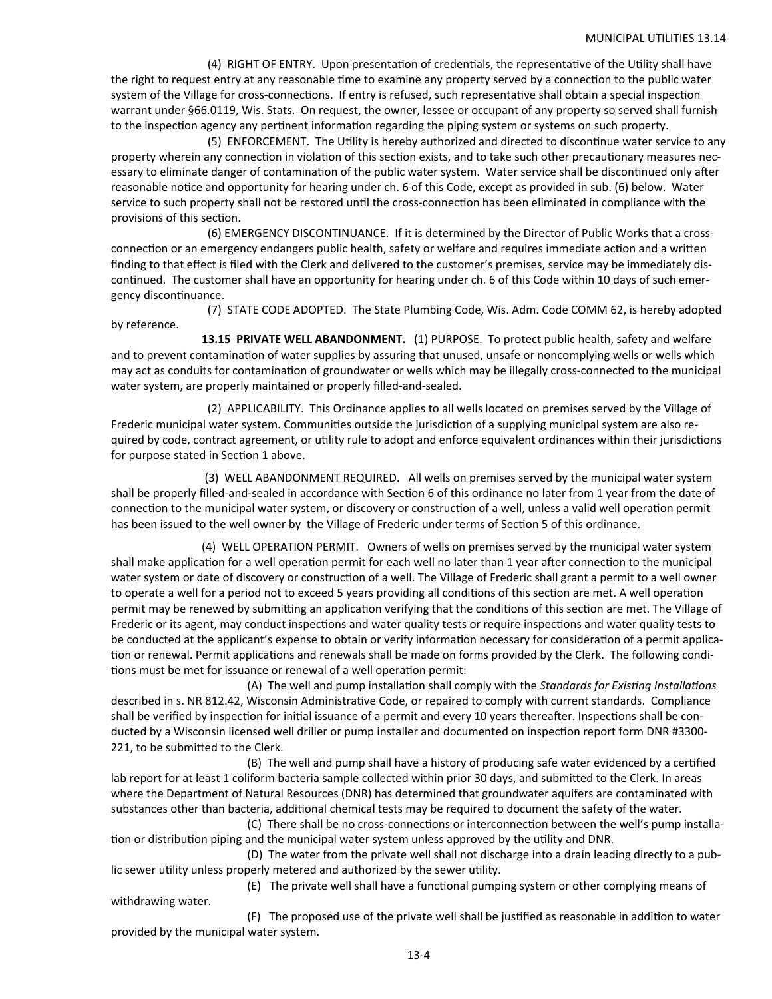(4) RIGHT OF ENTRY. Upon presentation of credentials, the representative of the Utility shall have the right to request entry at any reasonable time to examine any property served by a connection to the public water system of the Village for cross-connections. If entry is refused, such representative shall obtain a special inspection warrant under §66.0119, Wis. Stats. On request, the owner, lessee or occupant of any property so served shall furnish to the inspection agency any pertinent information regarding the piping system or systems on such property.

(5) ENFORCEMENT. The Utility is hereby authorized and directed to discontinue water service to any property wherein any connection in violation of this section exists, and to take such other precautionary measures necessary to eliminate danger of contamination of the public water system. Water service shall be discontinued only after reasonable notice and opportunity for hearing under ch. 6 of this Code, except as provided in sub. (6) below. Water service to such property shall not be restored until the cross-connection has been eliminated in compliance with the provisions of this section.

(6) EMERGENCY DISCONTINUANCE. If it is determined by the Director of Public Works that a cross‐ connection or an emergency endangers public health, safety or welfare and requires immediate action and a written finding to that effect is filed with the Clerk and delivered to the customer's premises, service may be immediately dis‐ continued. The customer shall have an opportunity for hearing under ch. 6 of this Code within 10 days of such emergency discontinuance.

 (7) STATE CODE ADOPTED. The State Plumbing Code, Wis. Adm. Code COMM 62, is hereby adopted by reference.

**13.15 PRIVATE WELL ABANDONMENT.** (1) PURPOSE. To protect public health, safety and welfare and to prevent contamination of water supplies by assuring that unused, unsafe or noncomplying wells or wells which may act as conduits for contamination of groundwater or wells which may be illegally cross-connected to the municipal water system, are properly maintained or properly filled-and-sealed.

 (2) APPLICABILITY. This Ordinance applies to all wells located on premises served by the Village of Frederic municipal water system. Communities outside the jurisdiction of a supplying municipal system are also required by code, contract agreement, or utility rule to adopt and enforce equivalent ordinances within their jurisdictions for purpose stated in Section 1 above.

 (3) WELL ABANDONMENT REQUIRED. All wells on premises served by the municipal water system shall be properly filled-and-sealed in accordance with Section 6 of this ordinance no later from 1 year from the date of connection to the municipal water system, or discovery or construction of a well, unless a valid well operation permit has been issued to the well owner by the Village of Frederic under terms of Section 5 of this ordinance.

 (4) WELL OPERATION PERMIT. Owners of wells on premises served by the municipal water system shall make application for a well operation permit for each well no later than 1 year after connection to the municipal water system or date of discovery or construction of a well. The Village of Frederic shall grant a permit to a well owner to operate a well for a period not to exceed 5 years providing all conditions of this section are met. A well operation permit may be renewed by submitting an application verifying that the conditions of this section are met. The Village of Frederic or its agent, may conduct inspections and water quality tests or require inspections and water quality tests to be conducted at the applicant's expense to obtain or verify information necessary for consideration of a permit application or renewal. Permit applications and renewals shall be made on forms provided by the Clerk. The following conditions must be met for issuance or renewal of a well operation permit:

(A) The well and pump installation shall comply with the *Standards for Existing Installations* described in s. NR 812.42, Wisconsin Administrative Code, or repaired to comply with current standards. Compliance shall be verified by inspection for initial issuance of a permit and every 10 years thereafter. Inspections shall be conducted by a Wisconsin licensed well driller or pump installer and documented on inspection report form DNR #3300-221, to be submitted to the Clerk.

(B) The well and pump shall have a history of producing safe water evidenced by a certified lab report for at least 1 coliform bacteria sample collected within prior 30 days, and submitted to the Clerk. In areas where the Department of Natural Resources (DNR) has determined that groundwater aquifers are contaminated with substances other than bacteria, additional chemical tests may be required to document the safety of the water.

(C) There shall be no cross-connections or interconnection between the well's pump installation or distribution piping and the municipal water system unless approved by the utility and DNR.

 (D) The water from the private well shall not discharge into a drain leading directly to a pub‐ lic sewer utility unless properly metered and authorized by the sewer utility.

(E) The private well shall have a functional pumping system or other complying means of withdrawing water.

(F) The proposed use of the private well shall be justified as reasonable in addition to water provided by the municipal water system.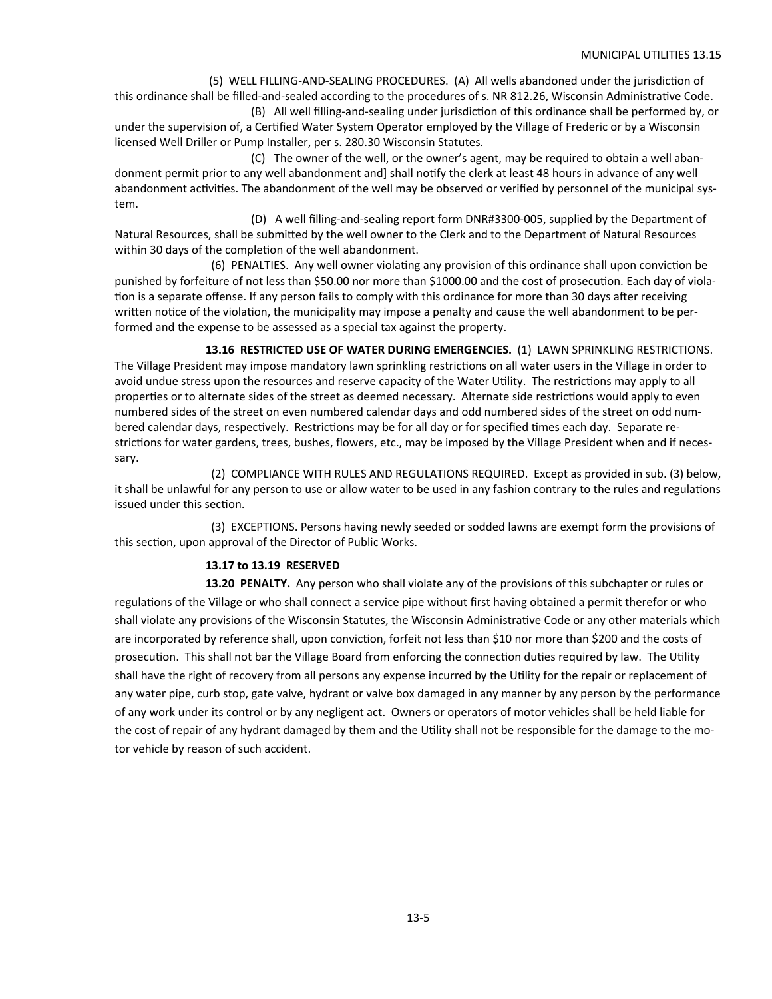(5) WELL FILLING-AND-SEALING PROCEDURES. (A) All wells abandoned under the jurisdiction of this ordinance shall be filled-and-sealed according to the procedures of s. NR 812.26, Wisconsin Administrative Code.

(B) All well filling-and-sealing under jurisdiction of this ordinance shall be performed by, or under the supervision of, a Certified Water System Operator employed by the Village of Frederic or by a Wisconsin licensed Well Driller or Pump Installer, per s. 280.30 Wisconsin Statutes.

 (C) The owner of the well, or the owner's agent, may be required to obtain a well aban‐ donment permit prior to any well abandonment and] shall notify the clerk at least 48 hours in advance of any well abandonment activities. The abandonment of the well may be observed or verified by personnel of the municipal system.

 (D) A well filling‐and‐sealing report form DNR#3300‐005, supplied by the Department of Natural Resources, shall be submitted by the well owner to the Clerk and to the Department of Natural Resources within 30 days of the completion of the well abandonment.

(6) PENALTIES. Any well owner violating any provision of this ordinance shall upon conviction be punished by forfeiture of not less than \$50.00 nor more than \$1000.00 and the cost of prosecution. Each day of violation is a separate offense. If any person fails to comply with this ordinance for more than 30 days after receiving written notice of the violation, the municipality may impose a penalty and cause the well abandonment to be performed and the expense to be assessed as a special tax against the property.

13.16 RESTRICTED USE OF WATER DURING EMERGENCIES. (1) LAWN SPRINKLING RESTRICTIONS. The Village President may impose mandatory lawn sprinkling restrictions on all water users in the Village in order to avoid undue stress upon the resources and reserve capacity of the Water Utility. The restrictions may apply to all properties or to alternate sides of the street as deemed necessary. Alternate side restrictions would apply to even numbered sides of the street on even numbered calendar days and odd numbered sides of the street on odd num‐ bered calendar days, respectively. Restrictions may be for all day or for specified times each day. Separate restrictions for water gardens, trees, bushes, flowers, etc., may be imposed by the Village President when and if necessary.

 (2) COMPLIANCE WITH RULES AND REGULATIONS REQUIRED. Except as provided in sub. (3) below, it shall be unlawful for any person to use or allow water to be used in any fashion contrary to the rules and regulations issued under this section.

 (3) EXCEPTIONS. Persons having newly seeded or sodded lawns are exempt form the provisions of this section, upon approval of the Director of Public Works.

#### **13.17 to 13.19 RESERVED**

**13.20 PENALTY.** Any person who shall violate any of the provisions of this subchapter or rules or regulations of the Village or who shall connect a service pipe without first having obtained a permit therefor or who shall violate any provisions of the Wisconsin Statutes, the Wisconsin Administrative Code or any other materials which are incorporated by reference shall, upon conviction, forfeit not less than \$10 nor more than \$200 and the costs of prosecution. This shall not bar the Village Board from enforcing the connection duties required by law. The Utility shall have the right of recovery from all persons any expense incurred by the Utility for the repair or replacement of any water pipe, curb stop, gate valve, hydrant or valve box damaged in any manner by any person by the performance of any work under its control or by any negligent act. Owners or operators of motor vehicles shall be held liable for the cost of repair of any hydrant damaged by them and the Utility shall not be responsible for the damage to the motor vehicle by reason of such accident.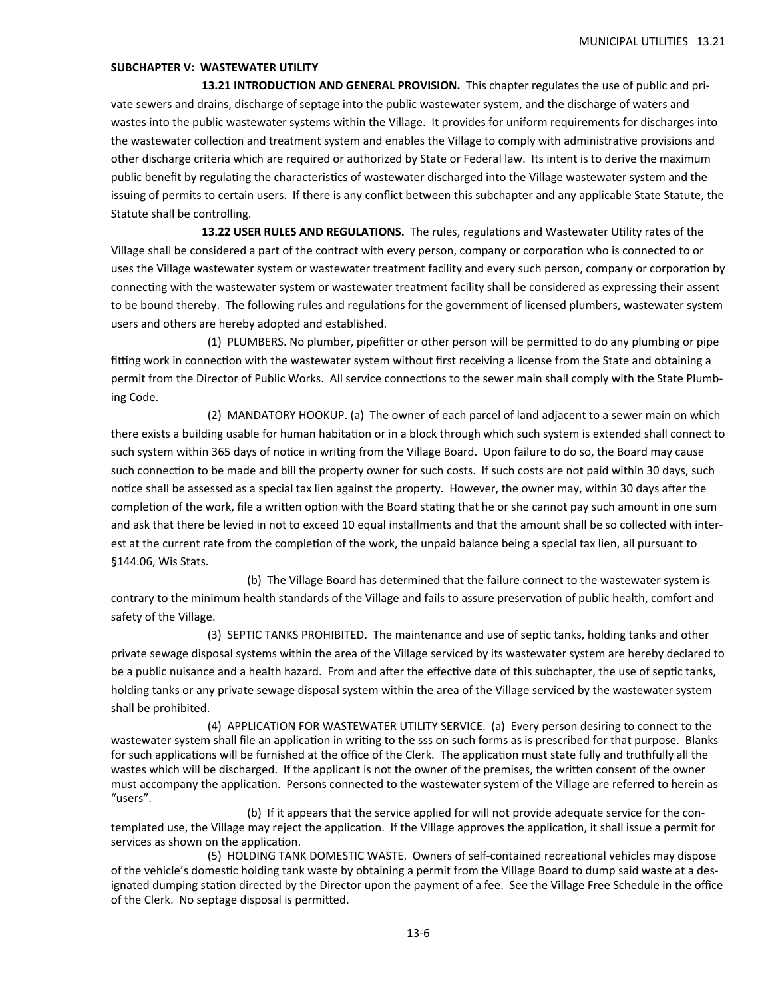#### **SUBCHAPTER V: WASTEWATER UTILITY**

 **13.21 INTRODUCTION AND GENERAL PROVISION.** This chapter regulates the use of public and private sewers and drains, discharge of septage into the public wastewater system, and the discharge of waters and wastes into the public wastewater systems within the Village. It provides for uniform requirements for discharges into the wastewater collection and treatment system and enables the Village to comply with administrative provisions and other discharge criteria which are required or authorized by State or Federal law. Its intent is to derive the maximum public benefit by regulating the characteristics of wastewater discharged into the Village wastewater system and the issuing of permits to certain users. If there is any conflict between this subchapter and any applicable State Statute, the Statute shall be controlling.

**13.22 USER RULES AND REGULATIONS.** The rules, regulations and Wastewater Utility rates of the Village shall be considered a part of the contract with every person, company or corporation who is connected to or uses the Village wastewater system or wastewater treatment facility and every such person, company or corporation by connecting with the wastewater system or wastewater treatment facility shall be considered as expressing their assent to be bound thereby. The following rules and regulations for the government of licensed plumbers, wastewater system users and others are hereby adopted and established.

(1) PLUMBERS. No plumber, pipefitter or other person will be permitted to do any plumbing or pipe fitting work in connection with the wastewater system without first receiving a license from the State and obtaining a permit from the Director of Public Works. All service connections to the sewer main shall comply with the State Plumbing Code.

 (2) MANDATORY HOOKUP. (a) The owner of each parcel of land adjacent to a sewer main on which there exists a building usable for human habitation or in a block through which such system is extended shall connect to such system within 365 days of notice in writing from the Village Board. Upon failure to do so, the Board may cause such connection to be made and bill the property owner for such costs. If such costs are not paid within 30 days, such notice shall be assessed as a special tax lien against the property. However, the owner may, within 30 days after the completion of the work, file a written option with the Board stating that he or she cannot pay such amount in one sum and ask that there be levied in not to exceed 10 equal installments and that the amount shall be so collected with interest at the current rate from the completion of the work, the unpaid balance being a special tax lien, all pursuant to §144.06, Wis Stats.

 (b) The Village Board has determined that the failure connect to the wastewater system is contrary to the minimum health standards of the Village and fails to assure preservation of public health, comfort and safety of the Village.

(3) SEPTIC TANKS PROHIBITED. The maintenance and use of septic tanks, holding tanks and other private sewage disposal systems within the area of the Village serviced by its wastewater system are hereby declared to be a public nuisance and a health hazard. From and after the effective date of this subchapter, the use of septic tanks, holding tanks or any private sewage disposal system within the area of the Village serviced by the wastewater system shall be prohibited.

 (4) APPLICATION FOR WASTEWATER UTILITY SERVICE. (a) Every person desiring to connect to the wastewater system shall file an application in writing to the sss on such forms as is prescribed for that purpose. Blanks for such applications will be furnished at the office of the Clerk. The application must state fully and truthfully all the wastes which will be discharged. If the applicant is not the owner of the premises, the written consent of the owner must accompany the application. Persons connected to the wastewater system of the Village are referred to herein as "users".

(b) If it appears that the service applied for will not provide adequate service for the contemplated use, the Village may reject the application. If the Village approves the application, it shall issue a permit for services as shown on the application.

 (5) HOLDING TANK DOMESTIC WASTE. Owners of self‐contained recreaƟonal vehicles may dispose of the vehicle's domestic holding tank waste by obtaining a permit from the Village Board to dump said waste at a designated dumping station directed by the Director upon the payment of a fee. See the Village Free Schedule in the office of the Clerk. No septage disposal is permitted.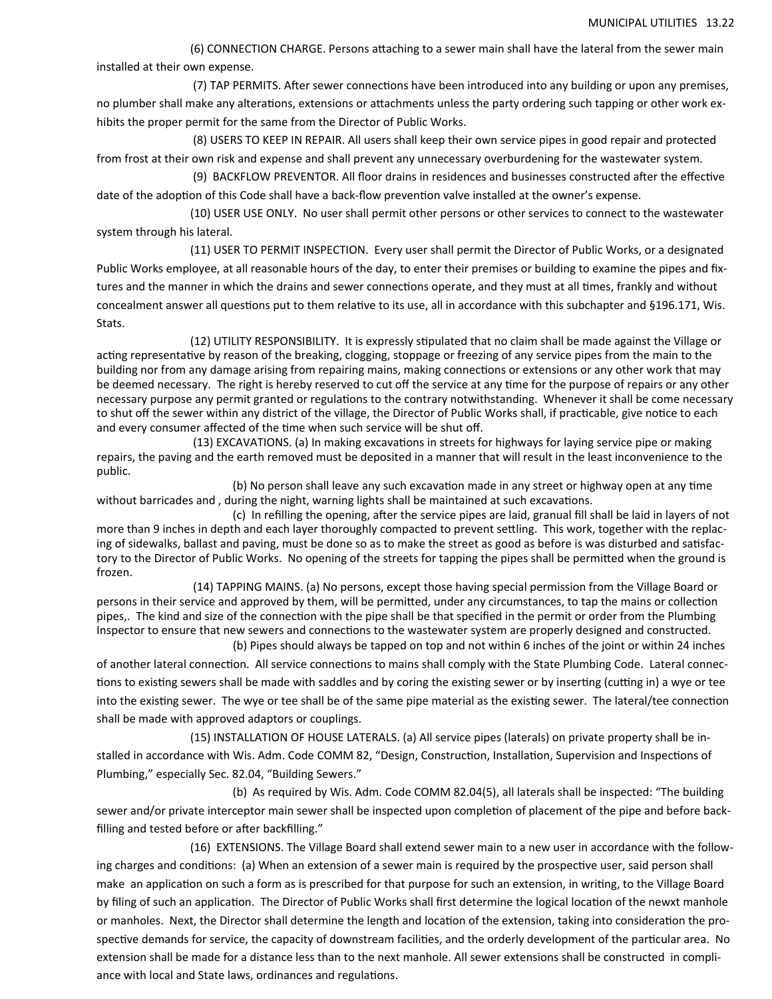(6) CONNECTION CHARGE. Persons attaching to a sewer main shall have the lateral from the sewer main installed at their own expense.

(7) TAP PERMITS. After sewer connections have been introduced into any building or upon any premises, no plumber shall make any alterations, extensions or attachments unless the party ordering such tapping or other work exhibits the proper permit for the same from the Director of Public Works.

 (8) USERS TO KEEP IN REPAIR. All users shall keep their own service pipes in good repair and protected from frost at their own risk and expense and shall prevent any unnecessary overburdening for the wastewater system.

(9) BACKFLOW PREVENTOR. All floor drains in residences and businesses constructed after the effective date of the adoption of this Code shall have a back-flow prevention valve installed at the owner's expense.

 (10) USER USE ONLY. No user shall permit other persons or other services to connect to the wastewater system through his lateral.

 (11) USER TO PERMIT INSPECTION. Every user shall permit the Director of Public Works, or a designated Public Works employee, at all reasonable hours of the day, to enter their premises or building to examine the pipes and fix‐ tures and the manner in which the drains and sewer connections operate, and they must at all times, frankly and without concealment answer all questions put to them relative to its use, all in accordance with this subchapter and §196.171, Wis. Stats.

(12) UTILITY RESPONSIBILITY. It is expressly stipulated that no claim shall be made against the Village or acting representative by reason of the breaking, clogging, stoppage or freezing of any service pipes from the main to the building nor from any damage arising from repairing mains, making connections or extensions or any other work that may be deemed necessary. The right is hereby reserved to cut off the service at any time for the purpose of repairs or any other necessary purpose any permit granted or regulations to the contrary notwithstanding. Whenever it shall be come necessary to shut off the sewer within any district of the village, the Director of Public Works shall, if practicable, give notice to each and every consumer affected of the time when such service will be shut off.

(13) EXCAVATIONS. (a) In making excavations in streets for highways for laying service pipe or making repairs, the paving and the earth removed must be deposited in a manner that will result in the least inconvenience to the public.

(b) No person shall leave any such excavation made in any street or highway open at any time without barricades and , during the night, warning lights shall be maintained at such excavations.

(c) In refilling the opening, after the service pipes are laid, granual fill shall be laid in layers of not more than 9 inches in depth and each layer thoroughly compacted to prevent settling. This work, together with the replacing of sidewalks, ballast and paving, must be done so as to make the street as good as before is was disturbed and satisfactory to the Director of Public Works. No opening of the streets for tapping the pipes shall be permitted when the ground is frozen.

 (14) TAPPING MAINS. (a) No persons, except those having special permission from the Village Board or persons in their service and approved by them, will be permitted, under any circumstances, to tap the mains or collection pipes,. The kind and size of the connection with the pipe shall be that specified in the permit or order from the Plumbing Inspector to ensure that new sewers and connections to the wastewater system are properly designed and constructed. (b) Pipes should always be tapped on top and not within 6 inches of the joint or within 24 inches

of another lateral connection. All service connections to mains shall comply with the State Plumbing Code. Lateral connections to existing sewers shall be made with saddles and by coring the existing sewer or by inserting (cutting in) a wye or tee into the existing sewer. The wye or tee shall be of the same pipe material as the existing sewer. The lateral/tee connection shall be made with approved adaptors or couplings.

 (15) INSTALLATION OF HOUSE LATERALS. (a) All service pipes (laterals) on private property shall be in‐ stalled in accordance with Wis. Adm. Code COMM 82, "Design, Construction, Installation, Supervision and Inspections of Plumbing," especially Sec. 82.04, "Building Sewers."

 (b) As required by Wis. Adm. Code COMM 82.04(5), all laterals shall be inspected: "The building sewer and/or private interceptor main sewer shall be inspected upon completion of placement of the pipe and before backfilling and tested before or after backfilling."

 (16) EXTENSIONS. The Village Board shall extend sewer main to a new user in accordance with the follow‐ ing charges and conditions: (a) When an extension of a sewer main is required by the prospective user, said person shall make an application on such a form as is prescribed for that purpose for such an extension, in writing, to the Village Board by filing of such an application. The Director of Public Works shall first determine the logical location of the newxt manhole or manholes. Next, the Director shall determine the length and location of the extension, taking into consideration the prospective demands for service, the capacity of downstream facilities, and the orderly development of the particular area. No extension shall be made for a distance less than to the next manhole. All sewer extensions shall be constructed in compliance with local and State laws, ordinances and regulations.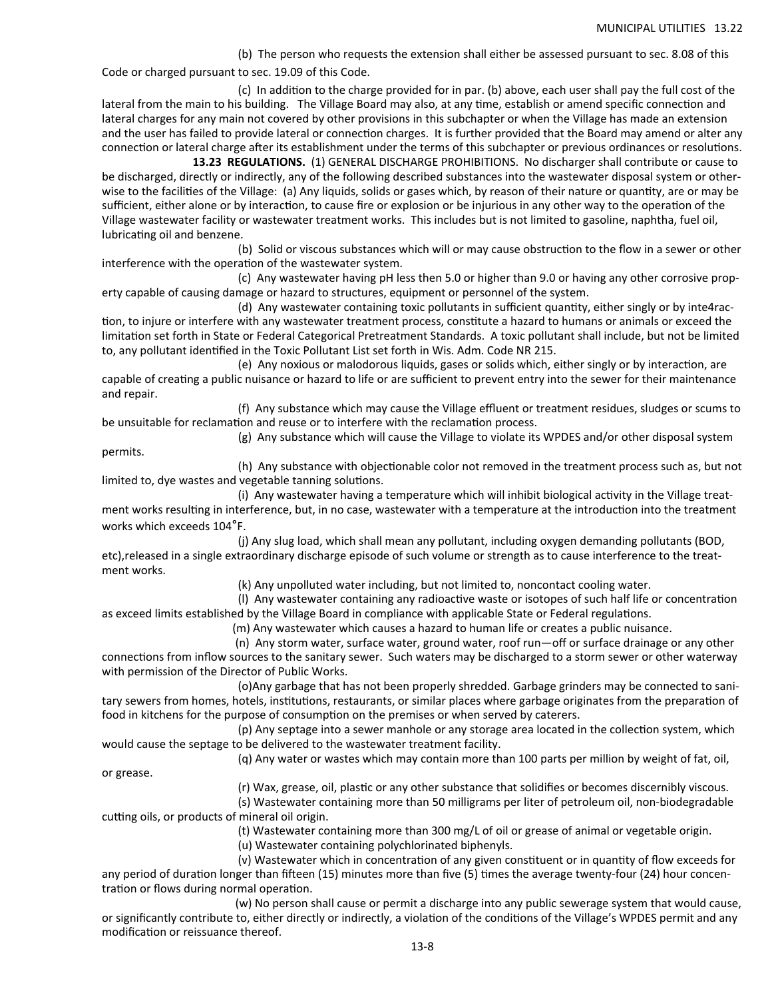(b) The person who requests the extension shall either be assessed pursuant to sec. 8.08 of this

Code or charged pursuant to sec. 19.09 of this Code.

 (c) In addiƟon to the charge provided for in par. (b) above, each user shall pay the full cost of the lateral from the main to his building. The Village Board may also, at any time, establish or amend specific connection and lateral charges for any main not covered by other provisions in this subchapter or when the Village has made an extension and the user has failed to provide lateral or connection charges. It is further provided that the Board may amend or alter any connection or lateral charge after its establishment under the terms of this subchapter or previous ordinances or resolutions.

 **13.23 REGULATIONS.** (1) GENERAL DISCHARGE PROHIBITIONS. No discharger shall contribute or cause to be discharged, directly or indirectly, any of the following described substances into the wastewater disposal system or other‐ wise to the facilities of the Village: (a) Any liquids, solids or gases which, by reason of their nature or quantity, are or may be sufficient, either alone or by interaction, to cause fire or explosion or be injurious in any other way to the operation of the Village wastewater facility or wastewater treatment works. This includes but is not limited to gasoline, naphtha, fuel oil, lubricating oil and benzene.

(b) Solid or viscous substances which will or may cause obstruction to the flow in a sewer or other interference with the operation of the wastewater system.

 (c) Any wastewater having pH less then 5.0 or higher than 9.0 or having any other corrosive prop‐ erty capable of causing damage or hazard to structures, equipment or personnel of the system.

(d) Any wastewater containing toxic pollutants in sufficient quantity, either singly or by inte4raction, to injure or interfere with any wastewater treatment process, constitute a hazard to humans or animals or exceed the limitation set forth in State or Federal Categorical Pretreatment Standards. A toxic pollutant shall include, but not be limited to, any pollutant identified in the Toxic Pollutant List set forth in Wis. Adm. Code NR 215.

(e) Any noxious or malodorous liquids, gases or solids which, either singly or by interaction, are capable of creating a public nuisance or hazard to life or are sufficient to prevent entry into the sewer for their maintenance and repair.

 (f) Any substance which may cause the Village effluent or treatment residues, sludges or scums to be unsuitable for reclamation and reuse or to interfere with the reclamation process.

 (g) Any substance which will cause the Village to violate its WPDES and/or other disposal system permits.

(h) Any substance with objectionable color not removed in the treatment process such as, but not limited to, dye wastes and vegetable tanning solutions.

(i) Any wastewater having a temperature which will inhibit biological activity in the Village treatment works resulting in interference, but, in no case, wastewater with a temperature at the introduction into the treatment works which exceeds 104°F.

 (j) Any slug load, which shall mean any pollutant, including oxygen demanding pollutants (BOD, etc),released in a single extraordinary discharge episode of such volume or strength as to cause interference to the treat‐ ment works.

(k) Any unpolluted water including, but not limited to, noncontact cooling water.

(I) Any wastewater containing any radioactive waste or isotopes of such half life or concentration as exceed limits established by the Village Board in compliance with applicable State or Federal regulations.

(m) Any wastewater which causes a hazard to human life or creates a public nuisance.

 (n) Any storm water, surface water, ground water, roof run—off or surface drainage or any other connections from inflow sources to the sanitary sewer. Such waters may be discharged to a storm sewer or other waterway with permission of the Director of Public Works.

 (o)Any garbage that has not been properly shredded. Garbage grinders may be connected to sani‐ tary sewers from homes, hotels, institutions, restaurants, or similar places where garbage originates from the preparation of food in kitchens for the purpose of consumption on the premises or when served by caterers.

(p) Any septage into a sewer manhole or any storage area located in the collection system, which would cause the septage to be delivered to the wastewater treatment facility.

(q) Any water or wastes which may contain more than 100 parts per million by weight of fat, oil,

or grease.

(r) Wax, grease, oil, plasƟc or any other substance that solidifies or becomes discernibly viscous.

 (s) Wastewater containing more than 50 milligrams per liter of petroleum oil, non‐biodegradable cutting oils, or products of mineral oil origin.

(t) Wastewater containing more than 300 mg/L of oil or grease of animal or vegetable origin.

(u) Wastewater containing polychlorinated biphenyls.

(v) Wastewater which in concentration of any given constituent or in quantity of flow exceeds for any period of duration longer than fifteen (15) minutes more than five (5) times the average twenty-four (24) hour concentration or flows during normal operation.

 (w) No person shall cause or permit a discharge into any public sewerage system that would cause, or significantly contribute to, either directly or indirectly, a violation of the conditions of the Village's WPDES permit and any modification or reissuance thereof.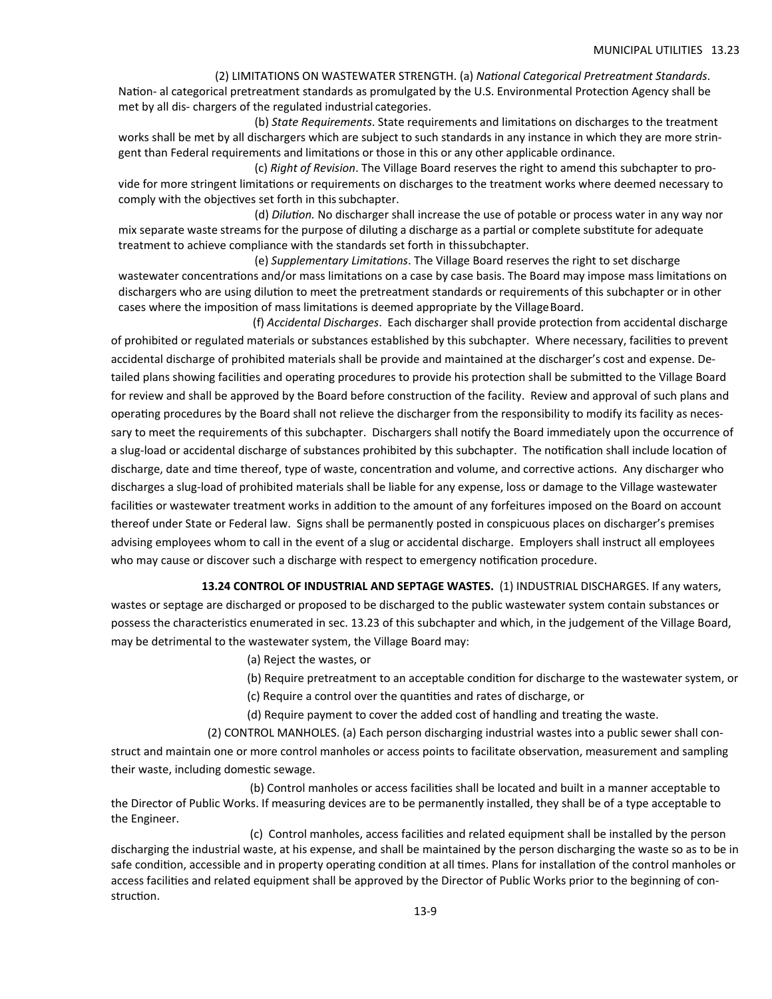(2) LIMITATIONS ON WASTEWATER STRENGTH. (a) *NaƟonal Categorical Pretreatment Standards*. Nation- al categorical pretreatment standards as promulgated by the U.S. Environmental Protection Agency shall be

met by all dis‐ chargers of the regulated industrial categories. (b) *State Requirements*. State requirements and limitaƟons on discharges to the treatment

works shall be met by all dischargers which are subject to such standards in any instance in which they are more strin‐ gent than Federal requirements and limitations or those in this or any other applicable ordinance.

(c) *Right of Revision*. The Village Board reserves the right to amend this subchapter to pro‐ vide for more stringent limitations or requirements on discharges to the treatment works where deemed necessary to comply with the objectives set forth in this subchapter.

(d) *DiluƟon.* No discharger shall increase the use of potable or process water in any way nor mix separate waste streams for the purpose of diluting a discharge as a partial or complete substitute for adequate treatment to achieve compliance with the standards set forth in this subchapter.

(e) *Supplementary LimitaƟons*. The Village Board reserves the right to set discharge wastewater concentrations and/or mass limitations on a case by case basis. The Board may impose mass limitations on dischargers who are using dilution to meet the pretreatment standards or requirements of this subchapter or in other cases where the imposition of mass limitations is deemed appropriate by the Village Board.

  (f) *Accidental Discharges*. Each discharger shall provide protecƟon from accidental discharge of prohibited or regulated materials or substances established by this subchapter. Where necessary, facilities to prevent accidental discharge of prohibited materials shall be provide and maintained at the discharger's cost and expense. De‐ tailed plans showing facilities and operating procedures to provide his protection shall be submitted to the Village Board for review and shall be approved by the Board before construction of the facility. Review and approval of such plans and operating procedures by the Board shall not relieve the discharger from the responsibility to modify its facility as necessary to meet the requirements of this subchapter. Dischargers shall notify the Board immediately upon the occurrence of a slug-load or accidental discharge of substances prohibited by this subchapter. The notification shall include location of discharge, date and time thereof, type of waste, concentration and volume, and corrective actions. Any discharger who discharges a slug‐load of prohibited materials shall be liable for any expense, loss or damage to the Village wastewater facilities or wastewater treatment works in addition to the amount of any forfeitures imposed on the Board on account thereof under State or Federal law. Signs shall be permanently posted in conspicuous places on discharger's premises advising employees whom to call in the event of a slug or accidental discharge. Employers shall instruct all employees who may cause or discover such a discharge with respect to emergency notification procedure.

13.24 CONTROL OF INDUSTRIAL AND SEPTAGE WASTES. (1) INDUSTRIAL DISCHARGES. If any waters, wastes or septage are discharged or proposed to be discharged to the public wastewater system contain substances or possess the characteristics enumerated in sec. 13.23 of this subchapter and which, in the judgement of the Village Board, may be detrimental to the wastewater system, the Village Board may:

- (a) Reject the wastes, or
- (b) Require pretreatment to an acceptable condition for discharge to the wastewater system, or
- (c) Require a control over the quantities and rates of discharge, or
- (d) Require payment to cover the added cost of handling and treating the waste.

(2) CONTROL MANHOLES. (a) Each person discharging industrial wastes into a public sewer shall con‐

struct and maintain one or more control manholes or access points to facilitate observation, measurement and sampling their waste, including domestic sewage.

(b) Control manholes or access facilities shall be located and built in a manner acceptable to the Director of Public Works. If measuring devices are to be permanently installed, they shall be of a type acceptable to the Engineer.

(c) Control manholes, access facilities and related equipment shall be installed by the person discharging the industrial waste, at his expense, and shall be maintained by the person discharging the waste so as to be in safe condition, accessible and in property operating condition at all times. Plans for installation of the control manholes or access facilities and related equipment shall be approved by the Director of Public Works prior to the beginning of construction.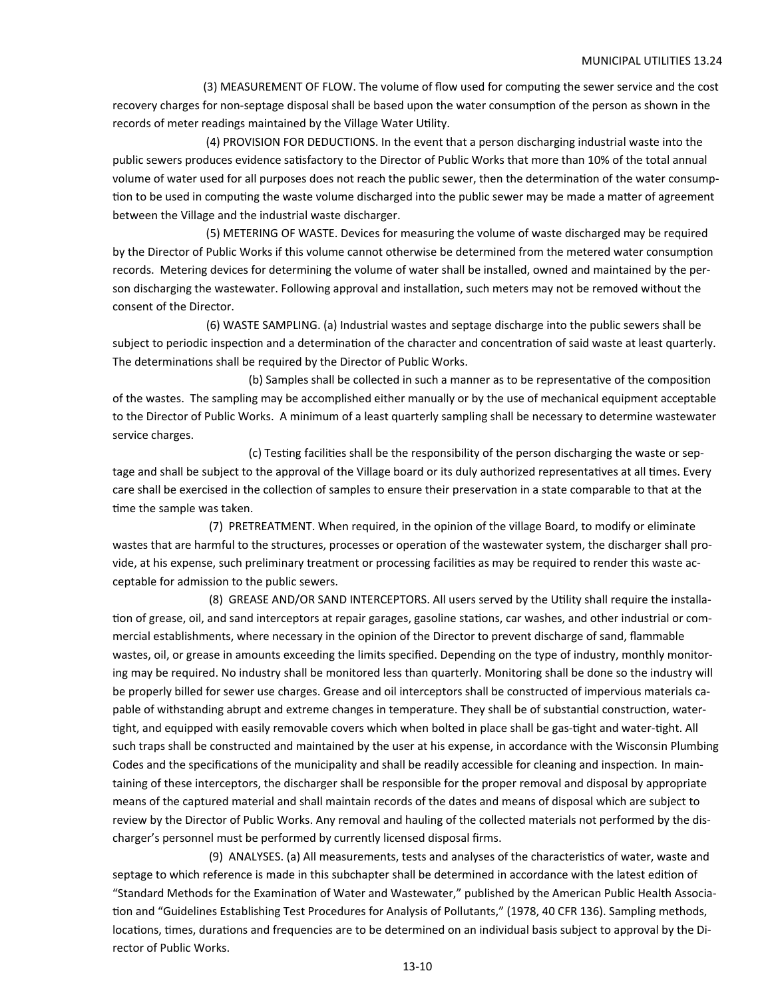(3) MEASUREMENT OF FLOW. The volume of flow used for computing the sewer service and the cost recovery charges for non-septage disposal shall be based upon the water consumption of the person as shown in the records of meter readings maintained by the Village Water Utility.

 (4) PROVISION FOR DEDUCTIONS. In the event that a person discharging industrial waste into the public sewers produces evidence satisfactory to the Director of Public Works that more than 10% of the total annual volume of water used for all purposes does not reach the public sewer, then the determination of the water consumption to be used in computing the waste volume discharged into the public sewer may be made a matter of agreement between the Village and the industrial waste discharger.

 (5) METERING OF WASTE. Devices for measuring the volume of waste discharged may be required by the Director of Public Works if this volume cannot otherwise be determined from the metered water consumption records. Metering devices for determining the volume of water shall be installed, owned and maintained by the per‐ son discharging the wastewater. Following approval and installation, such meters may not be removed without the consent of the Director.

 (6) WASTE SAMPLING. (a) Industrial wastes and septage discharge into the public sewers shall be subject to periodic inspection and a determination of the character and concentration of said waste at least quarterly. The determinations shall be required by the Director of Public Works.

(b) Samples shall be collected in such a manner as to be representative of the composition of the wastes. The sampling may be accomplished either manually or by the use of mechanical equipment acceptable to the Director of Public Works. A minimum of a least quarterly sampling shall be necessary to determine wastewater service charges.

(c) Testing facilities shall be the responsibility of the person discharging the waste or septage and shall be subject to the approval of the Village board or its duly authorized representatives at all times. Every care shall be exercised in the collection of samples to ensure their preservation in a state comparable to that at the time the sample was taken.

 (7) PRETREATMENT. When required, in the opinion of the village Board, to modify or eliminate wastes that are harmful to the structures, processes or operation of the wastewater system, the discharger shall provide, at his expense, such preliminary treatment or processing facilities as may be required to render this waste acceptable for admission to the public sewers.

(8) GREASE AND/OR SAND INTERCEPTORS. All users served by the Utility shall require the installation of grease, oil, and sand interceptors at repair garages, gasoline stations, car washes, and other industrial or commercial establishments, where necessary in the opinion of the Director to prevent discharge of sand, flammable wastes, oil, or grease in amounts exceeding the limits specified. Depending on the type of industry, monthly monitoring may be required. No industry shall be monitored less than quarterly. Monitoring shall be done so the industry will be properly billed for sewer use charges. Grease and oil interceptors shall be constructed of impervious materials capable of withstanding abrupt and extreme changes in temperature. They shall be of substantial construction, watertight, and equipped with easily removable covers which when bolted in place shall be gas-tight and water-tight. All such traps shall be constructed and maintained by the user at his expense, in accordance with the Wisconsin Plumbing Codes and the specifications of the municipality and shall be readily accessible for cleaning and inspection. In maintaining of these interceptors, the discharger shall be responsible for the proper removal and disposal by appropriate means of the captured material and shall maintain records of the dates and means of disposal which are subject to review by the Director of Public Works. Any removal and hauling of the collected materials not performed by the dis‐ charger's personnel must be performed by currently licensed disposal firms.

(9) ANALYSES. (a) All measurements, tests and analyses of the characteristics of water, waste and septage to which reference is made in this subchapter shall be determined in accordance with the latest edition of "Standard Methods for the Examination of Water and Wastewater," published by the American Public Health Association and "Guidelines Establishing Test Procedures for Analysis of Pollutants," (1978, 40 CFR 136). Sampling methods, locations, times, durations and frequencies are to be determined on an individual basis subject to approval by the Director of Public Works.